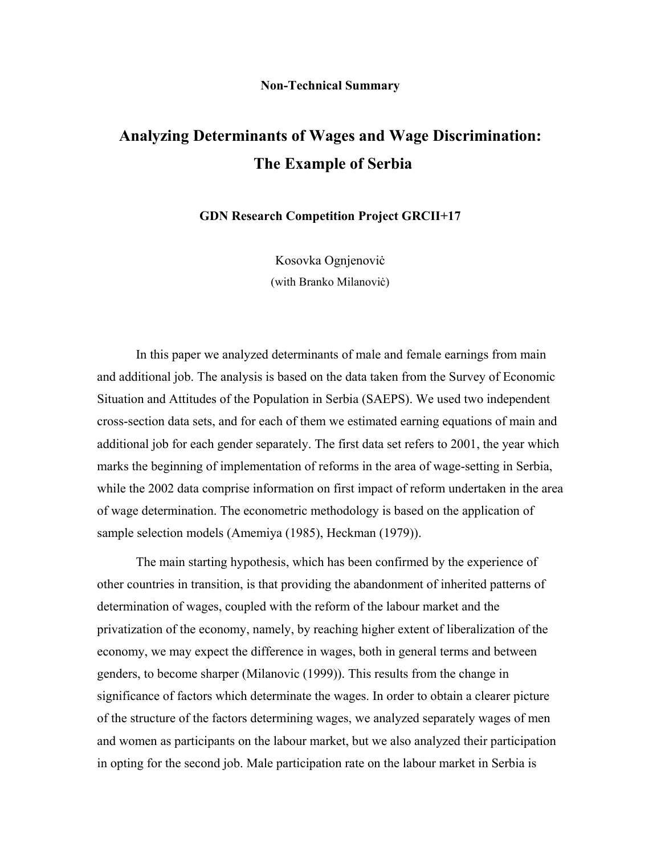## **Non-Technical Summary**

## **Analyzing Determinants of Wages and Wage Discrimination: The Example of Serbia**

**GDN Research Competition Project GRCII+17** 

Kosovka Ognjenoviċ (with Branko Milanoviċ)

In this paper we analyzed determinants of male and female earnings from main and additional job. The analysis is based on the data taken from the Survey of Economic Situation and Attitudes of the Population in Serbia (SAEPS). We used two independent cross-section data sets, and for each of them we estimated earning equations of main and additional job for each gender separately. The first data set refers to 2001, the year which marks the beginning of implementation of reforms in the area of wage-setting in Serbia, while the 2002 data comprise information on first impact of reform undertaken in the area of wage determination. The econometric methodology is based on the application of sample selection models (Amemiya (1985), Heckman (1979)).

The main starting hypothesis, which has been confirmed by the experience of other countries in transition, is that providing the abandonment of inherited patterns of determination of wages, coupled with the reform of the labour market and the privatization of the economy, namely, by reaching higher extent of liberalization of the economy, we may expect the difference in wages, both in general terms and between genders, to become sharper (Milanovic (1999)). This results from the change in significance of factors which determinate the wages. In order to obtain a clearer picture of the structure of the factors determining wages, we analyzed separately wages of men and women as participants on the labour market, but we also analyzed their participation in opting for the second job. Male participation rate on the labour market in Serbia is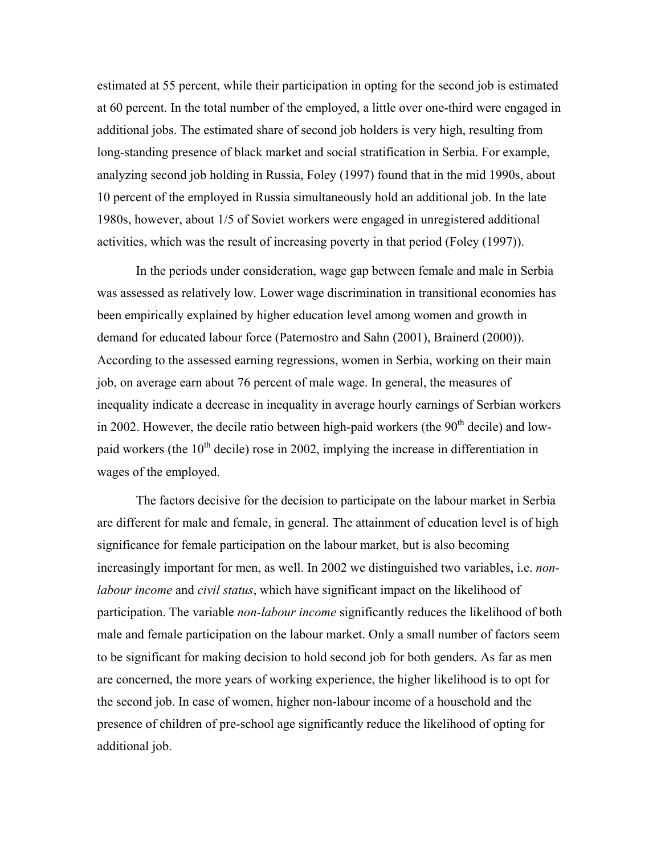estimated at 55 percent, while their participation in opting for the second job is estimated at 60 percent. In the total number of the employed, a little over one-third were engaged in additional jobs. The estimated share of second job holders is very high, resulting from long-standing presence of black market and social stratification in Serbia. For example, analyzing second job holding in Russia, Foley (1997) found that in the mid 1990s, about 10 percent of the employed in Russia simultaneously hold an additional job. In the late 1980s, however, about 1/5 of Soviet workers were engaged in unregistered additional activities, which was the result of increasing poverty in that period (Foley (1997)).

In the periods under consideration, wage gap between female and male in Serbia was assessed as relatively low. Lower wage discrimination in transitional economies has been empirically explained by higher education level among women and growth in demand for educated labour force (Paternostro and Sahn (2001), Brainerd (2000)). According to the assessed earning regressions, women in Serbia, working on their main job, on average earn about 76 percent of male wage. In general, the measures of inequality indicate a decrease in inequality in average hourly earnings of Serbian workers in 2002. However, the decile ratio between high-paid workers (the  $90<sup>th</sup>$  decile) and lowpaid workers (the  $10<sup>th</sup>$  decile) rose in 2002, implying the increase in differentiation in wages of the employed.

The factors decisive for the decision to participate on the labour market in Serbia are different for male and female, in general. The attainment of education level is of high significance for female participation on the labour market, but is also becoming increasingly important for men, as well. In 2002 we distinguished two variables, i.e. *nonlabour income* and *civil status*, which have significant impact on the likelihood of participation. The variable *non-labour income* significantly reduces the likelihood of both male and female participation on the labour market. Only a small number of factors seem to be significant for making decision to hold second job for both genders. As far as men are concerned, the more years of working experience, the higher likelihood is to opt for the second job. In case of women, higher non-labour income of a household and the presence of children of pre-school age significantly reduce the likelihood of opting for additional job.